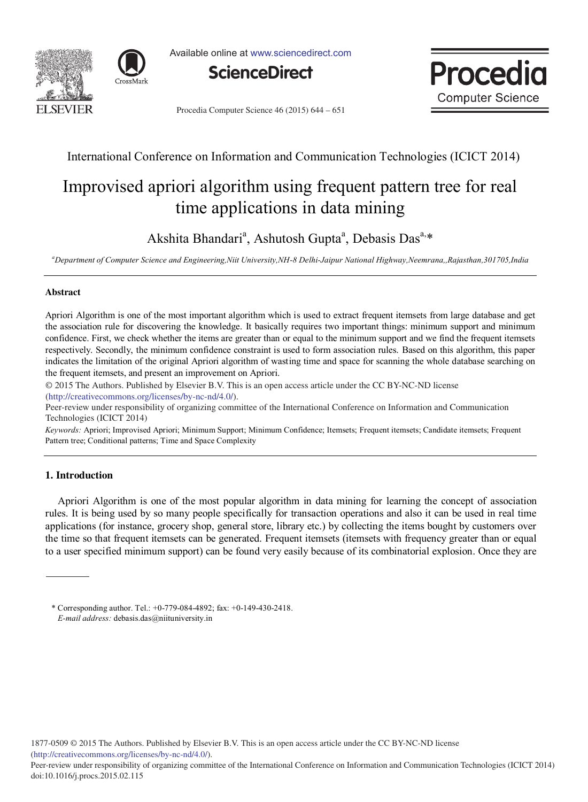



Available online at www.sciencedirect.com



Proced **Computer Science** 

Procedia Computer Science 46 (2015) 644 - 651

# International Conference on Information and Communication Technologies (ICICT 2014)

# Improvised apriori algorithm using frequent pattern tree for real time applications in data mining

Akshita Bhandari<sup>a</sup>, Ashutosh Gupta<sup>a</sup>, Debasis Das<sup>a,\*</sup>

*<sup>a</sup>Department of Computer Science and Engineering,Niit University,NH-8 Delhi-Jaipur National Highway,Neemrana,,Rajasthan,301705,India*

# **Abstract**

Apriori Algorithm is one of the most important algorithm which is used to extract frequent itemsets from large database and get the association rule for discovering the knowledge. It basically requires two important things: minimum support and minimum confidence. First, we check whether the items are greater than or equal to the minimum support and we find the frequent itemsets respectively. Secondly, the minimum confidence constraint is used to form association rules. Based on this algorithm, this paper indicates the limitation of the original Apriori algorithm of wasting time and space for scanning the whole database searching on the frequent itemsets, and present an improvement on Apriori.

© 2014 The Authors. Published by Elsevier B.V. © 2015 The Authors. Published by Elsevier B.V. This is an open access article under the CC BY-NC-ND license Peer-review under responsibility of organizing committee of the International Conference on Information and Communication (http://creativecommons.org/licenses/by-nc-nd/4.0/).

Peer-review under responsibility of organizing committee of the International Conference on Information and Communication Technologies (ICICT 2014)

*Keywords:* Apriori; Improvised Apriori; Minimum Support; Minimum Confidence; Itemsets; Frequent itemsets; Candidate itemsets; Frequent Pattern tree; Conditional patterns; Time and Space Complexity

# **1. Introduction**

Apriori Algorithm is one of the most popular algorithm in data mining for learning the concept of association rules. It is being used by so many people specifically for transaction operations and also it can be used in real time applications (for instance, grocery shop, general store, library etc.) by collecting the items bought by customers over the time so that frequent itemsets can be generated. Frequent itemsets (itemsets with frequency greater than or equal to a user specified minimum support) can be found very easily because of its combinatorial explosion. Once they are

<sup>\*</sup> Corresponding author. Tel.: +0-779-084-4892; fax: +0-149-430-2418. *E-mail address:* debasis.das@niituniversity.in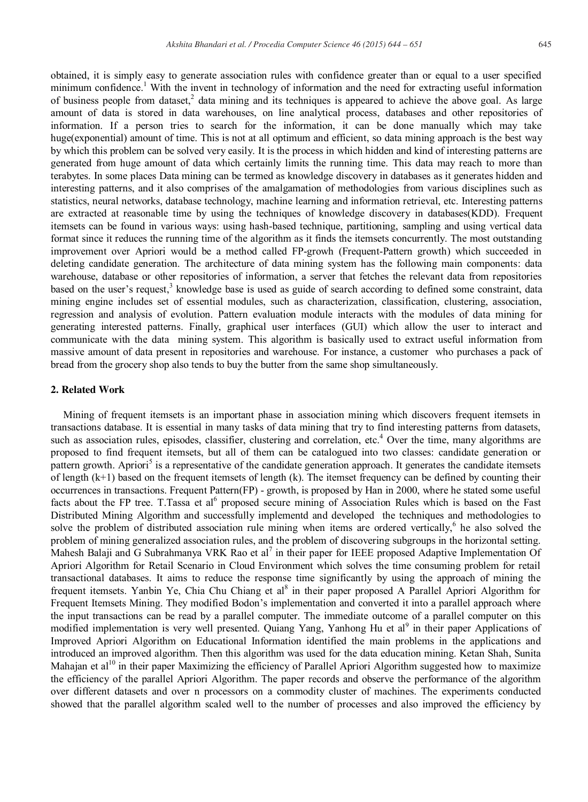obtained, it is simply easy to generate association rules with confidence greater than or equal to a user specified minimum confidence.<sup>1</sup> With the invent in technology of information and the need for extracting useful information of business people from dataset,<sup>2</sup> data mining and its techniques is appeared to achieve the above goal. As large amount of data is stored in data warehouses, on line analytical process, databases and other repositories of information. If a person tries to search for the information, it can be done manually which may take huge(exponential) amount of time. This is not at all optimum and efficient, so data mining approach is the best way by which this problem can be solved very easily. It is the process in which hidden and kind of interesting patterns are generated from huge amount of data which certainly limits the running time. This data may reach to more than terabytes. In some places Data mining can be termed as knowledge discovery in databases as it generates hidden and interesting patterns, and it also comprises of the amalgamation of methodologies from various disciplines such as statistics, neural networks, database technology, machine learning and information retrieval, etc. Interesting patterns are extracted at reasonable time by using the techniques of knowledge discovery in databases(KDD). Frequent itemsets can be found in various ways: using hash-based technique, partitioning, sampling and using vertical data format since it reduces the running time of the algorithm as it finds the itemsets concurrently. The most outstanding improvement over Apriori would be a method called FP-growh (Frequent-Pattern growth) which succeeded in deleting candidate generation. The architecture of data mining system has the following main components: data warehouse, database or other repositories of information, a server that fetches the relevant data from repositories based on the user's request,<sup>3</sup> knowledge base is used as guide of search according to defined some constraint, data mining engine includes set of essential modules, such as characterization, classification, clustering, association, regression and analysis of evolution. Pattern evaluation module interacts with the modules of data mining for generating interested patterns. Finally, graphical user interfaces (GUI) which allow the user to interact and communicate with the data mining system. This algorithm is basically used to extract useful information from massive amount of data present in repositories and warehouse. For instance, a customer who purchases a pack of bread from the grocery shop also tends to buy the butter from the same shop simultaneously.

#### **2. Related Work**

Mining of frequent itemsets is an important phase in association mining which discovers frequent itemsets in transactions database. It is essential in many tasks of data mining that try to find interesting patterns from datasets, such as association rules, episodes, classifier, clustering and correlation, etc.<sup>4</sup> Over the time, many algorithms are proposed to find frequent itemsets, but all of them can be catalogued into two classes: candidate generation or pattern growth. Apriori<sup>5</sup> is a representative of the candidate generation approach. It generates the candidate itemsets of length  $(k+1)$  based on the frequent itemsets of length  $(k)$ . The itemset frequency can be defined by counting their occurrences in transactions. Frequent Pattern(FP) - growth, is proposed by Han in 2000, where he stated some useful facts about the FP tree. T.Tassa et al<sup>6</sup> proposed secure mining of Association Rules which is based on the Fast Distributed Mining Algorithm and successfully implementd and developed the techniques and methodologies to solve the problem of distributed association rule mining when items are ordered vertically,<sup>6</sup> he also solved the problem of mining generalized association rules, and the problem of discovering subgroups in the horizontal setting. Mahesh Balaji and G Subrahmanya VRK Rao et al<sup>7</sup> in their paper for IEEE proposed Adaptive Implementation Of Apriori Algorithm for Retail Scenario in Cloud Environment which solves the time consuming problem for retail transactional databases. It aims to reduce the response time significantly by using the approach of mining the frequent itemsets. Yanbin Ye, Chia Chu Chiang et al<sup>8</sup> in their paper proposed A Parallel Apriori Algorithm for Frequent Itemsets Mining. They modified Bodon's implementation and converted it into a parallel approach where the input transactions can be read by a parallel computer. The immediate outcome of a parallel computer on this modified implementation is very well presented. Quiang Yang, Yanhong Hu et al<sup>9</sup> in their paper Applications of Improved Apriori Algorithm on Educational Information identified the main problems in the applications and introduced an improved algorithm. Then this algorithm was used for the data education mining. Ketan Shah, Sunita Mahajan et al<sup>10</sup> in their paper Maximizing the efficiency of Parallel Apriori Algorithm suggested how to maximize the efficiency of the parallel Apriori Algorithm. The paper records and observe the performance of the algorithm over different datasets and over n processors on a commodity cluster of machines. The experiments conducted showed that the parallel algorithm scaled well to the number of processes and also improved the efficiency by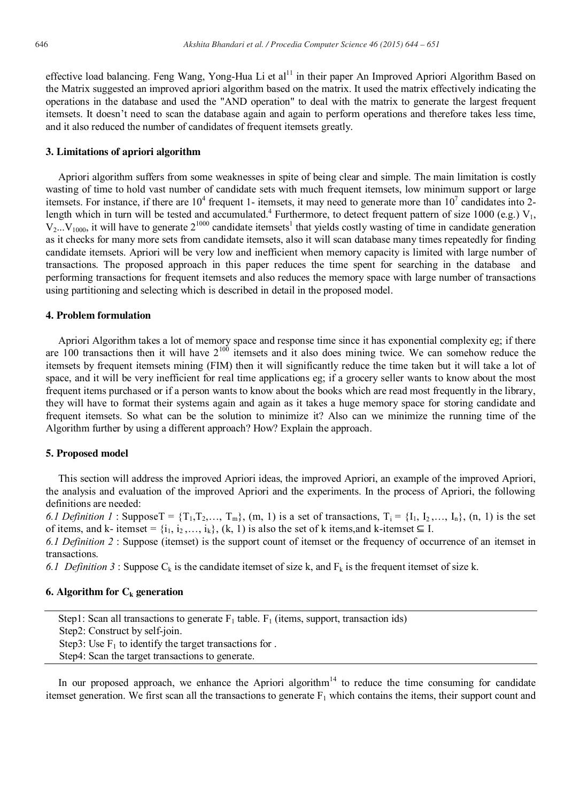effective load balancing. Feng Wang, Yong-Hua Li et al<sup>11</sup> in their paper An Improved Apriori Algorithm Based on the Matrix suggested an improved apriori algorithm based on the matrix. It used the matrix effectively indicating the operations in the database and used the "AND operation" to deal with the matrix to generate the largest frequent itemsets. It doesn't need to scan the database again and again to perform operations and therefore takes less time, and it also reduced the number of candidates of frequent itemsets greatly.

#### **3. Limitations of apriori algorithm**

Apriori algorithm suffers from some weaknesses in spite of being clear and simple. The main limitation is costly wasting of time to hold vast number of candidate sets with much frequent itemsets, low minimum support or large itemsets. For instance, if there are  $10^4$  frequent 1- itemsets, it may need to generate more than  $10^7$  candidates into 2length which in turn will be tested and accumulated.<sup>4</sup> Furthermore, to detect frequent pattern of size 1000 (e.g.)  $V_1$ ,  $V_{2}...V_{1000}$ , it will have to generate  $2^{1000}$  candidate itemsets<sup>1</sup> that yields costly wasting of time in candidate generation as it checks for many more sets from candidate itemsets, also it will scan database many times repeatedly for finding candidate itemsets. Apriori will be very low and inefficient when memory capacity is limited with large number of transactions. The proposed approach in this paper reduces the time spent for searching in the database and performing transactions for frequent itemsets and also reduces the memory space with large number of transactions using partitioning and selecting which is described in detail in the proposed model.

## **4. Problem formulation**

Apriori Algorithm takes a lot of memory space and response time since it has exponential complexity eg; if there are 100 transactions then it will have 2<sup>100</sup> itemsets and it also does mining twice. We can somehow reduce the itemsets by frequent itemsets mining (FIM) then it will significantly reduce the time taken but it will take a lot of space, and it will be very inefficient for real time applications eg; if a grocery seller wants to know about the most frequent items purchased or if a person wants to know about the books which are read most frequently in the library, they will have to format their systems again and again as it takes a huge memory space for storing candidate and frequent itemsets. So what can be the solution to minimize it? Also can we minimize the running time of the Algorithm further by using a different approach? How? Explain the approach.

#### **5. Proposed model**

This section will address the improved Apriori ideas, the improved Apriori, an example of the improved Apriori, the analysis and evaluation of the improved Apriori and the experiments. In the process of Apriori, the following definitions are needed:

6.1 Definition 1 : SupposeT = {T<sub>1</sub>,T<sub>2</sub>,..., T<sub>m</sub>}, (m, 1) is a set of transactions, T<sub>i</sub> = {I<sub>1</sub>, I<sub>2</sub>,..., I<sub>n</sub>}, (n, 1) is the set of items, and k- itemset =  $\{i_1, i_2, ..., i_k\}$ ,  $(k, 1)$  is also the set of k items, and k-itemset  $\subseteq$  I.

*6.1 Definition 2* : Suppose (itemset) is the support count of itemset or the frequency of occurrence of an itemset in transactions.

6.1 *Definition* 3 : Suppose  $C_k$  is the candidate itemset of size k, and  $F_k$  is the frequent itemset of size k.

#### **6. Algorithm for C<sup>k</sup> generation**

Step1: Scan all transactions to generate  $F_1$  table.  $F_1$  (items, support, transaction ids) Step2: Construct by self-join. Step3: Use  $F_1$  to identify the target transactions for . Step4: Scan the target transactions to generate.

In our proposed approach, we enhance the Apriori algorithm<sup>14</sup> to reduce the time consuming for candidate itemset generation. We first scan all the transactions to generate  $F_1$  which contains the items, their support count and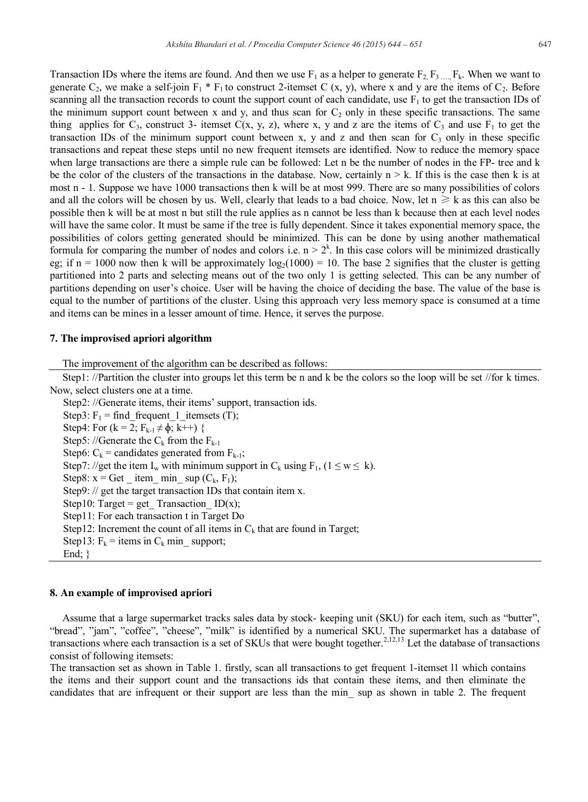Transaction IDs where the items are found. And then we use  $F_1$  as a helper to generate  $F_2$ ,  $F_3$ .  $F_k$ . When we want to generate  $C_2$ , we make a self-join  $F_1 * F_1$  to construct 2-itemset C (x, y), where x and y are the items of  $C_2$ . Before scanning all the transaction records to count the support count of each candidate, use  $F_1$  to get the transaction IDs of the minimum support count between x and y, and thus scan for  $C_2$  only in these specific transactions. The same thing applies for  $C_3$ , construct 3- itemset  $C(x, y, z)$ , where x, y and z are the items of  $C_3$  and use  $F_1$  to get the transaction IDs of the minimum support count between x, y and z and then scan for  $C_3$  only in these specific transactions and repeat these steps until no new frequent itemsets are identified. Now to reduce the memory space when large transactions are there a simple rule can be followed: Let n be the number of nodes in the FP- tree and k be the color of the clusters of the transactions in the database. Now, certainly  $n > k$ . If this is the case then k is at most n - 1. Suppose we have 1000 transactions then k will be at most 999. There are so many possibilities of colors and all the colors will be chosen by us. Well, clearly that leads to a bad choice. Now, let  $n \geq k$  as this can also be possible then k will be at most n but still the rule applies as n cannot be less than k because then at each level nodes will have the same color. It must be same if the tree is fully dependent. Since it takes exponential memory space, the possibilities of colors getting generated should be minimized. This can be done by using another mathematical formula for comparing the number of nodes and colors i.e.  $n > 2<sup>k</sup>$ . In this case colors will be minimized drastically eg; if n = 1000 now then k will be approximately  $log_2(1000) = 10$ . The base 2 signifies that the cluster is getting partitioned into 2 parts and selecting means out of the two only 1 is getting selected. This can be any number of partitions depending on user's choice. User will be having the choice of deciding the base. The value of the base is equal to the number of partitions of the cluster. Using this approach very less memory space is consumed at a time and items can be mines in a lesser amount of time. Hence, it serves the purpose.

## **7. The improvised apriori algorithm**

The improvement of the algorithm can be described as follows:

Step1: //Partition the cluster into groups let this term be n and k be the colors so the loop will be set //for k times. Now, select clusters one at a time.

 Step2: //Generate items, their items' support, transaction ids. Step3:  $F_1$  = find frequent 1 itemsets (T); Step4: For  $(k = 2; F_{k-1} \neq \phi; k++)$  { Step5: //Generate the  $C_k$  from the  $F_{k-1}$ Step6:  $C_k$  = candidates generated from  $F_{k-1}$ ; Step7: //get the item I<sub>w</sub> with minimum support in C<sub>k</sub> using F<sub>1</sub>, (1  $\leq$  w  $\leq$  k). Step8:  $x = Get$  item min sup  $(C_k, F_1)$ ; Step9: // get the target transaction IDs that contain item x. Step10: Target = get Transaction ID(x); Step11: For each transaction t in Target Do Step12: Increment the count of all items in  $C_k$  that are found in Target; Step13:  $F_k$  = items in  $C_k$  min support; End;  $\}$ 

#### **8. An example of improvised apriori**

Assume that a large supermarket tracks sales data by stock- keeping unit (SKU) for each item, such as "butter", "bread", "jam", "coffee", "cheese", "milk" is identified by a numerical SKU. The supermarket has a database of transactions where each transaction is a set of SKUs that were bought together.<sup>2,12,13</sup> Let the database of transactions consist of following itemsets:

The transaction set as shown in Table 1. firstly, scan all transactions to get frequent 1-itemset l1 which contains the items and their support count and the transactions ids that contain these items, and then eliminate the candidates that are infrequent or their support are less than the min\_ sup as shown in table 2. The frequent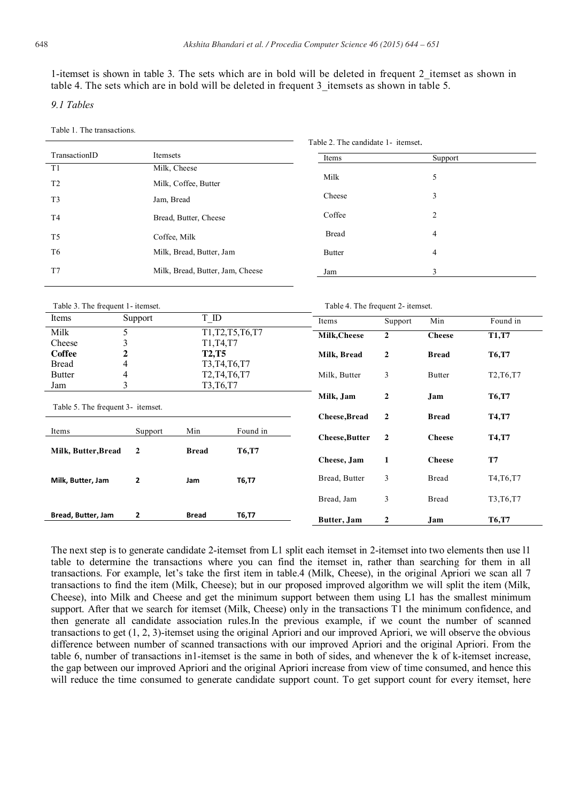1-itemset is shown in table 3. The sets which are in bold will be deleted in frequent 2\_itemset as shown in table 4. The sets which are in bold will be deleted in frequent 3 itemsets as shown in table 5.

#### *9.1 Tables*

Table 1. The transactions.

|                |                                  | Table 2. The candidate 1- itemset. |                |  |  |
|----------------|----------------------------------|------------------------------------|----------------|--|--|
| TransactionID  | Itemsets                         | Items                              | Support        |  |  |
| T1             | Milk, Cheese                     |                                    |                |  |  |
| T <sub>2</sub> | Milk, Coffee, Butter             | Milk                               | 5              |  |  |
| T <sub>3</sub> | Jam, Bread                       | Cheese                             | 3              |  |  |
| T <sub>4</sub> | Bread, Butter, Cheese            | Coffee                             | 2              |  |  |
| T <sub>5</sub> | Coffee, Milk                     | <b>Bread</b>                       | $\overline{4}$ |  |  |
| T <sub>6</sub> | Milk, Bread, Butter, Jam         | <b>Butter</b>                      | $\overline{4}$ |  |  |
| T <sub>7</sub> | Milk, Bread, Butter, Jam, Cheese | Jam                                | $\mathbf{3}$   |  |  |
|                |                                  |                                    |                |  |  |

| Table 3. The frequent 1- itemset. |                |                                                  |                                                                   | Table 4. The frequent 2- itemset. |                |               |                                                  |  |
|-----------------------------------|----------------|--------------------------------------------------|-------------------------------------------------------------------|-----------------------------------|----------------|---------------|--------------------------------------------------|--|
| Items                             | Support        | $T_\_ID$                                         |                                                                   | Items                             | Support        | Min           | Found in                                         |  |
| Milk                              | 5              |                                                  | T1, T2, T5, T6, T7                                                | Milk, Cheese                      | $\overline{2}$ | <b>Cheese</b> | T1,T7                                            |  |
| Cheese                            | 3              | T <sub>1</sub> , T <sub>4</sub> , T <sub>7</sub> |                                                                   |                                   |                |               |                                                  |  |
| <b>Coffee</b>                     | 2              | <b>T2,T5</b>                                     |                                                                   | Milk, Bread                       | $\overline{2}$ | <b>Bread</b>  | T6,T7                                            |  |
| <b>Bread</b>                      | 4              | T3, T4, T6, T7                                   |                                                                   |                                   |                |               |                                                  |  |
| <b>Butter</b>                     | 4              |                                                  | T <sub>2</sub> , T <sub>4</sub> , T <sub>6</sub> , T <sub>7</sub> | Milk, Butter                      | 3              | Butter        | T <sub>2</sub> , T <sub>6</sub> , T <sub>7</sub> |  |
| Jam                               | 3              | T3, T6, T7                                       |                                                                   |                                   |                |               |                                                  |  |
|                                   |                |                                                  |                                                                   | Milk, Jam                         | $\mathbf{2}$   | Jam           | T6,T7                                            |  |
| Table 5. The frequent 3- itemset. |                |                                                  |                                                                   |                                   |                |               |                                                  |  |
|                                   |                |                                                  |                                                                   | Cheese, Bread                     | $\overline{2}$ | <b>Bread</b>  | T4,T7                                            |  |
| Items                             | Support        | Min                                              | Found in                                                          | <b>Cheese, Butter</b>             | $\mathbf{2}$   | <b>Cheese</b> | T4,T7                                            |  |
| Milk, Butter, Bread               | $\overline{2}$ | <b>Bread</b>                                     | <b>T6,T7</b>                                                      |                                   |                |               |                                                  |  |
|                                   |                |                                                  |                                                                   | Cheese, Jam                       | $\mathbf{1}$   | <b>Cheese</b> | <b>T7</b>                                        |  |
| Milk, Butter, Jam                 | $\overline{2}$ | Jam                                              | T6,T7                                                             | Bread, Butter                     | 3              | <b>Bread</b>  | T4, T6, T7                                       |  |
|                                   |                |                                                  |                                                                   |                                   |                |               |                                                  |  |
|                                   |                |                                                  |                                                                   | Bread, Jam                        | 3              | <b>Bread</b>  | T3, T6, T7                                       |  |
| Bread, Butter, Jam                | 2              | Bread                                            | T6,T7                                                             | Butter, Jam                       | $\overline{2}$ | Jam           | T6,T7                                            |  |

The next step is to generate candidate 2-itemset from L1 split each itemset in 2-itemset into two elements then use l1 table to determine the transactions where you can find the itemset in, rather than searching for them in all transactions. For example, let's take the first item in table.4 (Milk, Cheese), in the original Apriori we scan all 7 transactions to find the item (Milk, Cheese); but in our proposed improved algorithm we will split the item (Milk, Cheese), into Milk and Cheese and get the minimum support between them using L1 has the smallest minimum support. After that we search for itemset (Milk, Cheese) only in the transactions T1 the minimum confidence, and then generate all candidate association rules.In the previous example, if we count the number of scanned transactions to get (1, 2, 3)-itemset using the original Apriori and our improved Apriori, we will observe the obvious difference between number of scanned transactions with our improved Apriori and the original Apriori. From the table 6, number of transactions in1-itemset is the same in both of sides, and whenever the k of k-itemset increase, the gap between our improved Apriori and the original Apriori increase from view of time consumed, and hence this will reduce the time consumed to generate candidate support count. To get support count for every itemset, here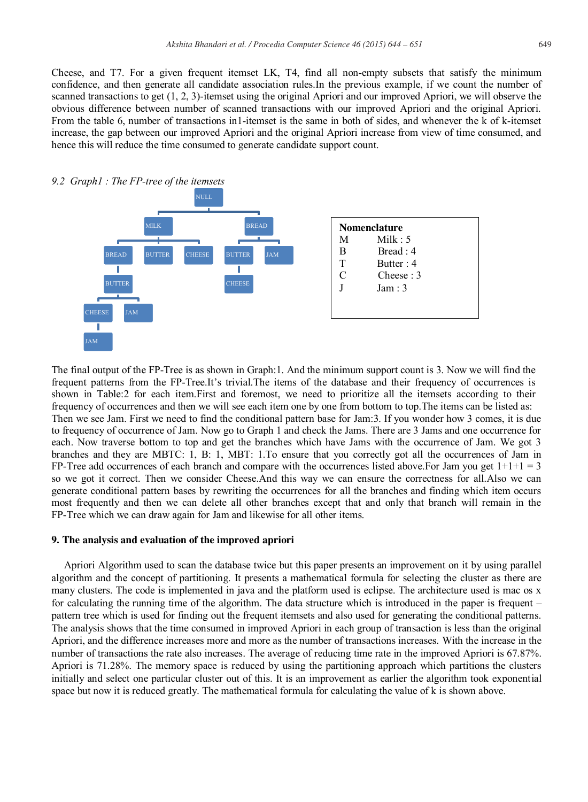Cheese, and T7. For a given frequent itemset LK, T4, find all non-empty subsets that satisfy the minimum confidence, and then generate all candidate association rules.In the previous example, if we count the number of scanned transactions to get (1, 2, 3)-itemset using the original Apriori and our improved Apriori, we will observe the obvious difference between number of scanned transactions with our improved Apriori and the original Apriori. From the table 6, number of transactions in1-itemset is the same in both of sides, and whenever the k of k-itemset increase, the gap between our improved Apriori and the original Apriori increase from view of time consumed, and hence this will reduce the time consumed to generate candidate support count.



The final output of the FP-Tree is as shown in Graph:1. And the minimum support count is 3. Now we will find the frequent patterns from the FP-Tree.It's trivial.The items of the database and their frequency of occurrences is shown in Table:2 for each item.First and foremost, we need to prioritize all the itemsets according to their frequency of occurrences and then we will see each item one by one from bottom to top.The items can be listed as: Then we see Jam. First we need to find the conditional pattern base for Jam:3. If you wonder how 3 comes, it is due to frequency of occurrence of Jam. Now go to Graph 1 and check the Jams. There are 3 Jams and one occurrence for each. Now traverse bottom to top and get the branches which have Jams with the occurrence of Jam. We got 3 branches and they are MBTC: 1, B: 1, MBT: 1.To ensure that you correctly got all the occurrences of Jam in FP-Tree add occurrences of each branch and compare with the occurrences listed above. For Jam you get  $1+1+1=3$ so we got it correct. Then we consider Cheese.And this way we can ensure the correctness for all.Also we can generate conditional pattern bases by rewriting the occurrences for all the branches and finding which item occurs most frequently and then we can delete all other branches except that and only that branch will remain in the FP-Tree which we can draw again for Jam and likewise for all other items.

#### **9. The analysis and evaluation of the improved apriori**

Apriori Algorithm used to scan the database twice but this paper presents an improvement on it by using parallel algorithm and the concept of partitioning. It presents a mathematical formula for selecting the cluster as there are many clusters. The code is implemented in java and the platform used is eclipse. The architecture used is mac os x for calculating the running time of the algorithm. The data structure which is introduced in the paper is frequent – pattern tree which is used for finding out the frequent itemsets and also used for generating the conditional patterns. The analysis shows that the time consumed in improved Apriori in each group of transaction is less than the original Apriori, and the difference increases more and more as the number of transactions increases. With the increase in the number of transactions the rate also increases. The average of reducing time rate in the improved Apriori is 67.87%. Apriori is 71.28%. The memory space is reduced by using the partitioning approach which partitions the clusters initially and select one particular cluster out of this. It is an improvement as earlier the algorithm took exponential space but now it is reduced greatly. The mathematical formula for calculating the value of k is shown above.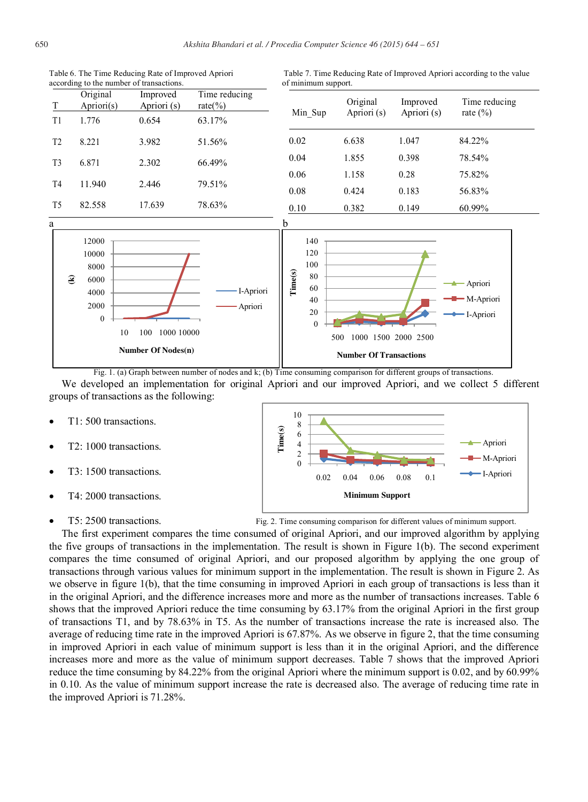

Table 6. The Time Reducing Rate of Improved Apriori Table 7. Time Reducing Rate of Improved Apriori according to the value

Fig. 1. (a) Graph between number of nodes and k; (b) Time consuming comparison for different groups of transactions. We developed an implementation for original Apriori and our improved Apriori, and we collect 5 different groups of transactions as the following:

- T1: 500 transactions.
- T2: 1000 transactions.
- T3: 1500 transactions.
- T4: 2000 transactions.
- 



T5: 2500 transactions. Fig. 2. Time consuming comparison for different values of minimum support.

The first experiment compares the time consumed of original Apriori, and our improved algorithm by applying the five groups of transactions in the implementation. The result is shown in Figure 1(b). The second experiment compares the time consumed of original Apriori, and our proposed algorithm by applying the one group of transactions through various values for minimum support in the implementation. The result is shown in Figure 2. As we observe in figure 1(b), that the time consuming in improved Apriori in each group of transactions is less than it in the original Apriori, and the difference increases more and more as the number of transactions increases. Table 6 shows that the improved Apriori reduce the time consuming by 63.17% from the original Apriori in the first group of transactions T1, and by 78.63% in T5. As the number of transactions increase the rate is increased also. The average of reducing time rate in the improved Apriori is 67.87%. As we observe in figure 2, that the time consuming in improved Apriori in each value of minimum support is less than it in the original Apriori, and the difference increases more and more as the value of minimum support decreases. Table 7 shows that the improved Apriori reduce the time consuming by 84.22% from the original Apriori where the minimum support is 0.02, and by 60.99% in 0.10. As the value of minimum support increase the rate is decreased also. The average of reducing time rate in the improved Apriori is 71.28%.